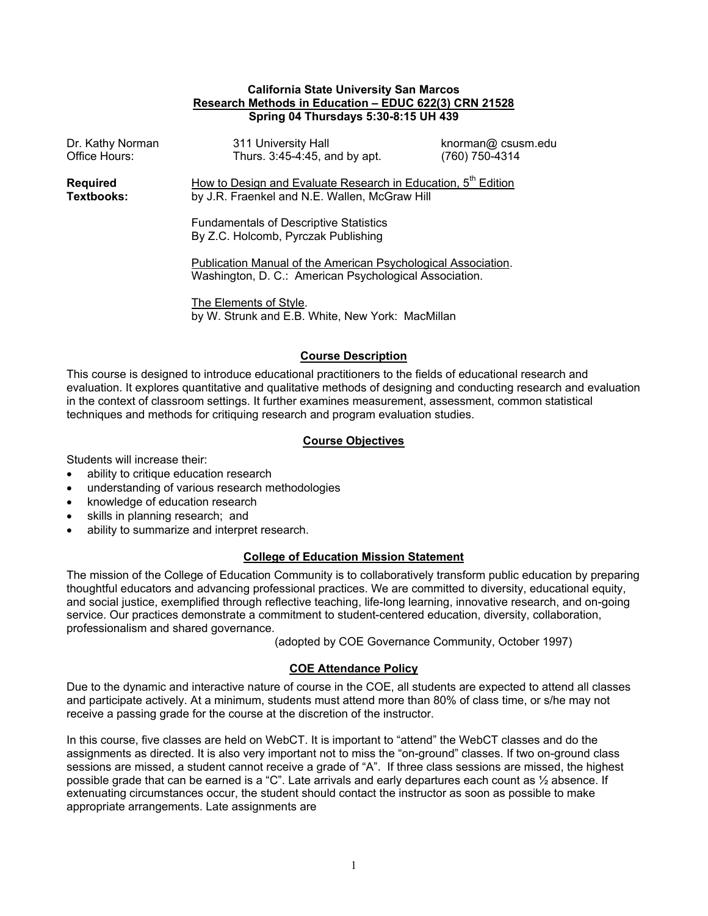## **California State University San Marcos Research Methods in Education – EDUC 622(3) CRN 21528 Spring 04 Thursdays 5:30-8:15 UH 439**

| Dr. Kathy Norman<br>Office Hours:    | 311 University Hall<br>Thurs. 3:45-4:45, and by apt.                                                                       | knorman@ csusm.edu<br>(760) 750-4314 |  |  |
|--------------------------------------|----------------------------------------------------------------------------------------------------------------------------|--------------------------------------|--|--|
| <b>Required</b><br><b>Textbooks:</b> | How to Design and Evaluate Research in Education, 5 <sup>th</sup> Edition<br>by J.R. Fraenkel and N.E. Wallen, McGraw Hill |                                      |  |  |
|                                      | <b>Fundamentals of Descriptive Statistics</b><br>By Z.C. Holcomb, Pyrczak Publishing                                       |                                      |  |  |
|                                      | Publication Manual of the American Psychological Association.<br>Washington, D. C.: American Psychological Association.    |                                      |  |  |
|                                      |                                                                                                                            |                                      |  |  |

 The Elements of Style. by W. Strunk and E.B. White, New York: MacMillan

# **Course Description**

This course is designed to introduce educational practitioners to the fields of educational research and evaluation. It explores quantitative and qualitative methods of designing and conducting research and evaluation in the context of classroom settings. It further examines measurement, assessment, common statistical techniques and methods for critiquing research and program evaluation studies.

# **Course Objectives**

Students will increase their:

- ability to critique education research
- understanding of various research methodologies
- knowledge of education research
- skills in planning research; and
- ability to summarize and interpret research.

# **College of Education Mission Statement**

The mission of the College of Education Community is to collaboratively transform public education by preparing thoughtful educators and advancing professional practices. We are committed to diversity, educational equity, and social justice, exemplified through reflective teaching, life-long learning, innovative research, and on-going service. Our practices demonstrate a commitment to student-centered education, diversity, collaboration, professionalism and shared governance.

(adopted by COE Governance Community, October 1997)

# **COE Attendance Policy**

Due to the dynamic and interactive nature of course in the COE, all students are expected to attend all classes and participate actively. At a minimum, students must attend more than 80% of class time, or s/he may not receive a passing grade for the course at the discretion of the instructor.

In this course, five classes are held on WebCT. It is important to "attend" the WebCT classes and do the assignments as directed. It is also very important not to miss the "on-ground" classes. If two on-ground class sessions are missed, a student cannot receive a grade of "A". If three class sessions are missed, the highest possible grade that can be earned is a "C". Late arrivals and early departures each count as ½ absence. If extenuating circumstances occur, the student should contact the instructor as soon as possible to make appropriate arrangements. Late assignments are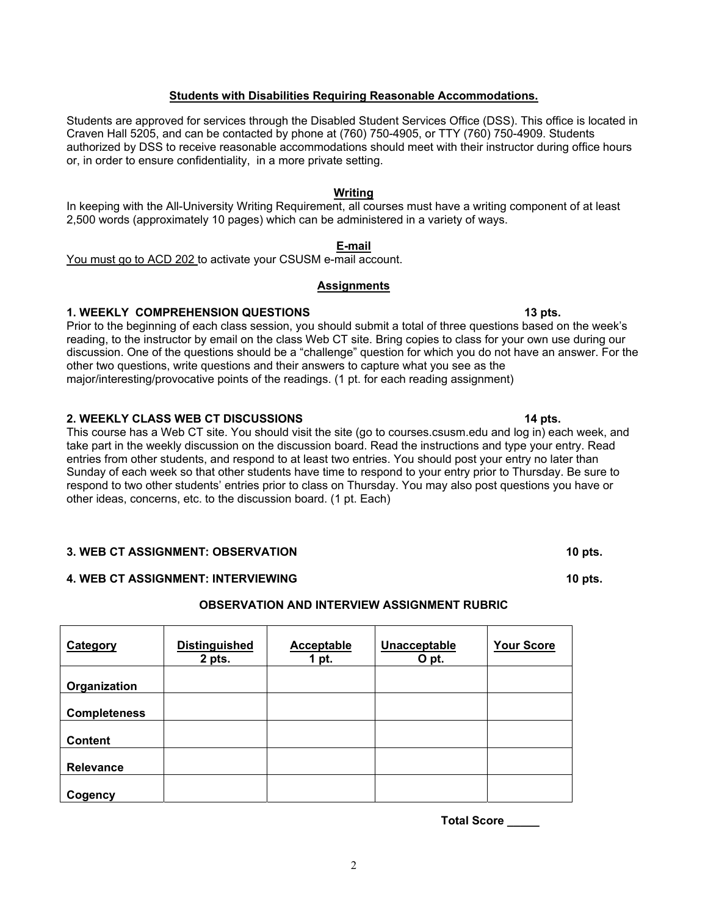# **Students with Disabilities Requiring Reasonable Accommodations.**

Students are approved for services through the Disabled Student Services Office (DSS). This office is located in Craven Hall 5205, and can be contacted by phone at (760) 750-4905, or TTY (760) 750-4909. Students authorized by DSS to receive reasonable accommodations should meet with their instructor during office hours or, in order to ensure confidentiality, in a more private setting.

#### **Writing**

In keeping with the All-University Writing Requirement, all courses must have a writing component of at least 2,500 words (approximately 10 pages) which can be administered in a variety of ways.

#### **E-mail**

You must go to ACD 202 to activate your CSUSM e-mail account.

## **Assignments**

#### **1. WEEKLY COMPREHENSION QUESTIONS 13 pts. 13 pts. 13 pts.**

Prior to the beginning of each class session, you should submit a total of three questions based on the week's reading, to the instructor by email on the class Web CT site. Bring copies to class for your own use during our discussion. One of the questions should be a "challenge" question for which you do not have an answer. For the other two questions, write questions and their answers to capture what you see as the major/interesting/provocative points of the readings. (1 pt. for each reading assignment)

#### **2. WEEKLY CLASS WEB CT DISCUSSIONS 14 pts.**

This course has a Web CT site. You should visit the site (go to courses.csusm.edu and log in) each week, and take part in the weekly discussion on the discussion board. Read the instructions and type your entry. Read entries from other students, and respond to at least two entries. You should post your entry no later than Sunday of each week so that other students have time to respond to your entry prior to Thursday. Be sure to respond to two other students' entries prior to class on Thursday. You may also post questions you have or other ideas, concerns, etc. to the discussion board. (1 pt. Each)

#### **3. WEB CT ASSIGNMENT: OBSERVATION 10 pts. 10 pts. 10 pts.**

## **4. WEB CT ASSIGNMENT: INTERVIEWING 10 pts. 10 pts. 10 pts.**

## **OBSERVATION AND INTERVIEW ASSIGNMENT RUBRIC**

| <b>Category</b>     | <b>Distinguished</b><br>2 pts. | Acceptable<br>1 pt. | Unacceptable<br>O pt. | <b>Your Score</b> |
|---------------------|--------------------------------|---------------------|-----------------------|-------------------|
| Organization        |                                |                     |                       |                   |
| <b>Completeness</b> |                                |                     |                       |                   |
| <b>Content</b>      |                                |                     |                       |                   |
| Relevance           |                                |                     |                       |                   |
| Cogency             |                                |                     |                       |                   |

**Total Score \_\_\_\_\_**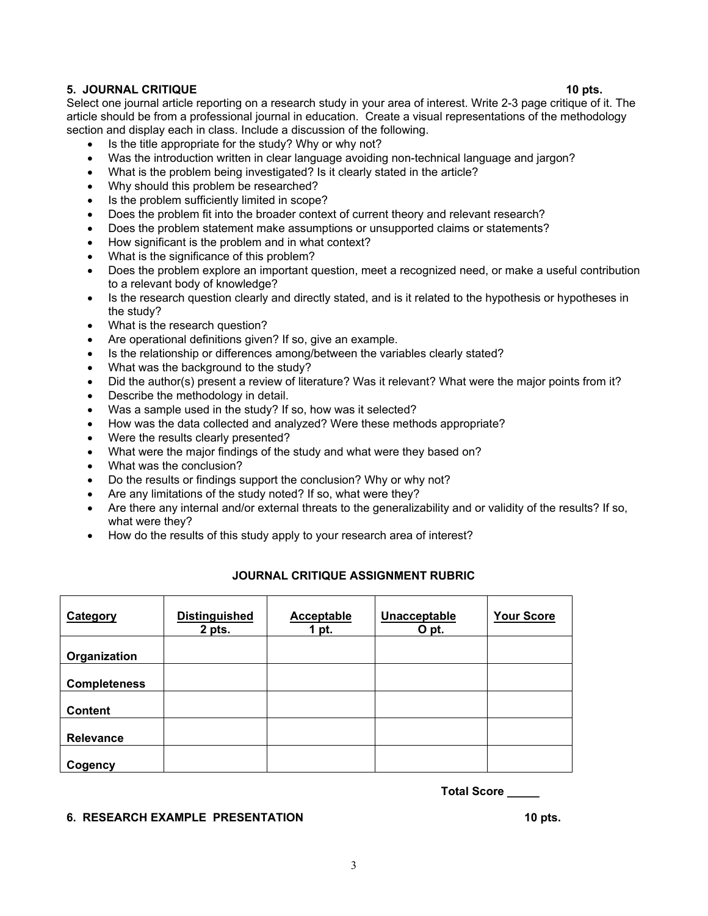- Does the problem explore an important question, meet a recognized need, or make a useful contribution to a relevant body of knowledge?
- Is the research question clearly and directly stated, and is it related to the hypothesis or hypotheses in the study?
- What is the research question?
- Are operational definitions given? If so, give an example.
- Is the relationship or differences among/between the variables clearly stated?
- What was the background to the study?
- Did the author(s) present a review of literature? Was it relevant? What were the major points from it?
- Describe the methodology in detail.
- Was a sample used in the study? If so, how was it selected?
- How was the data collected and analyzed? Were these methods appropriate?
- Were the results clearly presented?
- What were the major findings of the study and what were they based on?
- What was the conclusion?
- Do the results or findings support the conclusion? Why or why not?
- Are any limitations of the study noted? If so, what were they?
- Are there any internal and/or external threats to the generalizability and or validity of the results? If so, what were they?
- How do the results of this study apply to your research area of interest?

## **JOURNAL CRITIQUE ASSIGNMENT RUBRIC**

| <b>Distinguished</b><br>2 pts. | Acceptable<br>1 pt. | Unacceptable<br>O pt. | <b>Your Score</b> |
|--------------------------------|---------------------|-----------------------|-------------------|
|                                |                     |                       |                   |
|                                |                     |                       |                   |
|                                |                     |                       |                   |
|                                |                     |                       |                   |
|                                |                     |                       |                   |
|                                |                     |                       |                   |

**Total Score \_\_\_\_\_** 

### **6. RESEARCH EXAMPLE PRESENTATION** 10 pts. **10 pts.**

# section and display each in class. Include a discussion of the following.

- Is the title appropriate for the study? Why or why not?
- Was the introduction written in clear language avoiding non-technical language and jargon?
- What is the problem being investigated? Is it clearly stated in the article?
- Why should this problem be researched?
- Is the problem sufficiently limited in scope?
- Does the problem fit into the broader context of current theory and relevant research?
- Does the problem statement make assumptions or unsupported claims or statements?
- How significant is the problem and in what context?
- What is the significance of this problem?

#### Select one journal article reporting on a research study in your area of interest. Write 2-3 page critique of it. The article should be from a professional journal in education. Create a visual representations of the methodology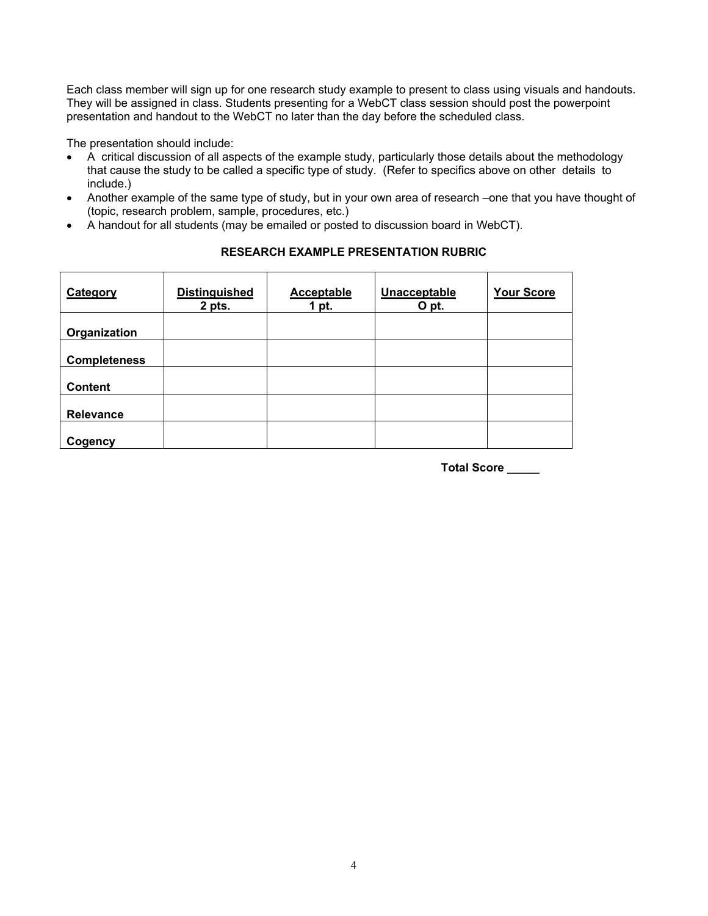Each class member will sign up for one research study example to present to class using visuals and handouts. They will be assigned in class. Students presenting for a WebCT class session should post the powerpoint presentation and handout to the WebCT no later than the day before the scheduled class.

The presentation should include:

- A critical discussion of all aspects of the example study, particularly those details about the methodology that cause the study to be called a specific type of study. (Refer to specifics above on other details to include.)
- Another example of the same type of study, but in your own area of research –one that you have thought of (topic, research problem, sample, procedures, etc.)
- A handout for all students (may be emailed or posted to discussion board in WebCT).

| <b>Distinguished</b><br>2 pts. | <b>Acceptable</b><br>1 pt. | Unacceptable<br>O pt. | <b>Your Score</b> |
|--------------------------------|----------------------------|-----------------------|-------------------|
|                                |                            |                       |                   |
|                                |                            |                       |                   |
|                                |                            |                       |                   |
|                                |                            |                       |                   |
|                                |                            |                       |                   |
|                                |                            |                       |                   |

# **RESEARCH EXAMPLE PRESENTATION RUBRIC**

**Total Score \_\_\_\_\_**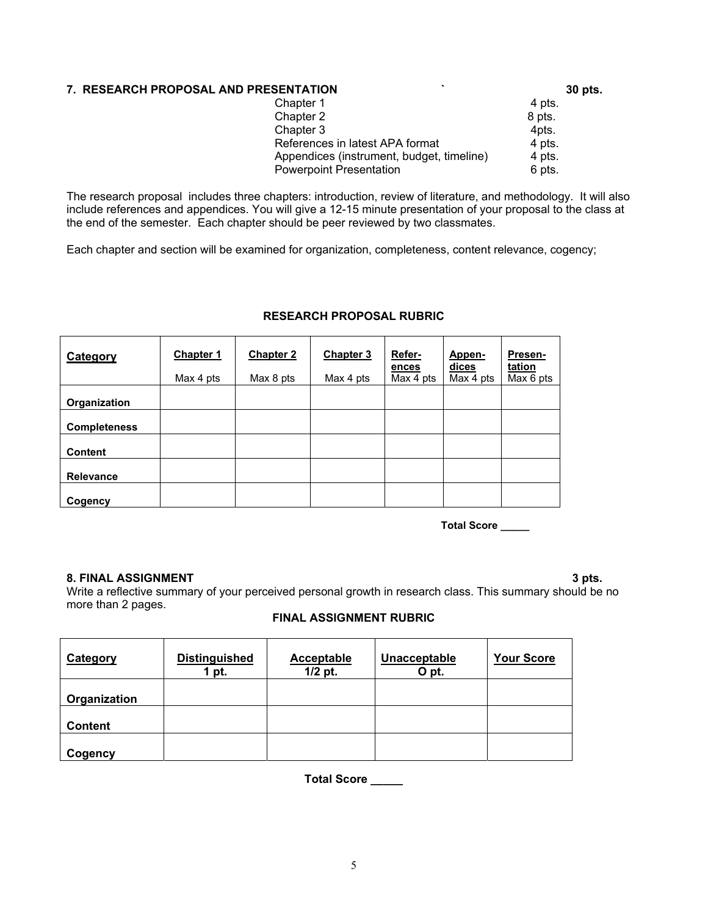# **7. RESEARCH PROPOSAL AND PRESENTATION ` 30 pts.**

| Chapter 1                                 | 4 pts. |
|-------------------------------------------|--------|
| Chapter 2                                 | 8 pts. |
| Chapter 3                                 | 4pts.  |
| References in latest APA format           | 4 pts. |
| Appendices (instrument, budget, timeline) | 4 pts. |
| <b>Powerpoint Presentation</b>            | 6 pts. |
|                                           |        |

The research proposal includes three chapters: introduction, review of literature, and methodology. It will also include references and appendices. You will give a 12-15 minute presentation of your proposal to the class at the end of the semester. Each chapter should be peer reviewed by two classmates.

Each chapter and section will be examined for organization, completeness, content relevance, cogency;

| Category            | <b>Chapter 1</b><br>Max 4 pts | <b>Chapter 2</b><br>Max 8 pts | <b>Chapter 3</b><br>Max 4 pts | Refer-<br>ences<br>Max 4 pts | Appen-<br>dices<br>Max 4 pts | Presen-<br>tation<br>Max 6 pts |
|---------------------|-------------------------------|-------------------------------|-------------------------------|------------------------------|------------------------------|--------------------------------|
| Organization        |                               |                               |                               |                              |                              |                                |
| <b>Completeness</b> |                               |                               |                               |                              |                              |                                |
| <b>Content</b>      |                               |                               |                               |                              |                              |                                |
| <b>Relevance</b>    |                               |                               |                               |                              |                              |                                |
| Cogency             |                               |                               |                               |                              |                              |                                |

# **RESEARCH PROPOSAL RUBRIC**

**Total Score \_\_\_\_\_** 

## **8. FINAL ASSIGNMENT** 3 pts.

Write a reflective summary of your perceived personal growth in research class. This summary should be no more than 2 pages.

# **FINAL ASSIGNMENT RUBRIC**

| <b>Category</b> | <b>Distinguished</b><br>pt. | <b>Acceptable</b><br>$1/2$ pt. | Unacceptable<br>O pt. | <b>Your Score</b> |
|-----------------|-----------------------------|--------------------------------|-----------------------|-------------------|
| Organization    |                             |                                |                       |                   |
| <b>Content</b>  |                             |                                |                       |                   |
| Cogency         |                             |                                |                       |                   |

**Total Score \_\_\_\_\_**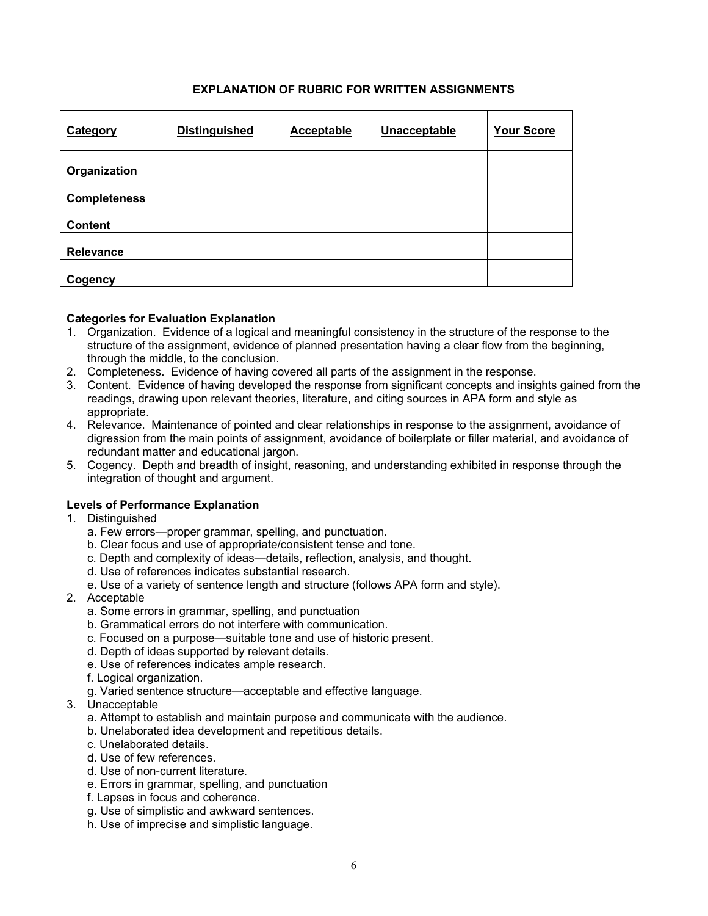# **EXPLANATION OF RUBRIC FOR WRITTEN ASSIGNMENTS**

| Category            | <b>Distinguished</b> | Acceptable | Unacceptable | <b>Your Score</b> |
|---------------------|----------------------|------------|--------------|-------------------|
| Organization        |                      |            |              |                   |
| <b>Completeness</b> |                      |            |              |                   |
| <b>Content</b>      |                      |            |              |                   |
| Relevance           |                      |            |              |                   |
| Cogency             |                      |            |              |                   |

## **Categories for Evaluation Explanation**

- 1. Organization. Evidence of a logical and meaningful consistency in the structure of the response to the structure of the assignment, evidence of planned presentation having a clear flow from the beginning, through the middle, to the conclusion.
- 2. Completeness. Evidence of having covered all parts of the assignment in the response.
- 3. Content. Evidence of having developed the response from significant concepts and insights gained from the readings, drawing upon relevant theories, literature, and citing sources in APA form and style as appropriate.
- 4. Relevance. Maintenance of pointed and clear relationships in response to the assignment, avoidance of digression from the main points of assignment, avoidance of boilerplate or filler material, and avoidance of redundant matter and educational jargon.
- 5. Cogency. Depth and breadth of insight, reasoning, and understanding exhibited in response through the integration of thought and argument.

# **Levels of Performance Explanation**

- 1. Distinguished
	- a. Few errors—proper grammar, spelling, and punctuation.
	- b. Clear focus and use of appropriate/consistent tense and tone.
	- c. Depth and complexity of ideas—details, reflection, analysis, and thought.
	- d. Use of references indicates substantial research.
	- e. Use of a variety of sentence length and structure (follows APA form and style).
- 2. Acceptable
	- a. Some errors in grammar, spelling, and punctuation
	- b. Grammatical errors do not interfere with communication.
	- c. Focused on a purpose—suitable tone and use of historic present.
	- d. Depth of ideas supported by relevant details.
	- e. Use of references indicates ample research.
	- f. Logical organization.
	- g. Varied sentence structure—acceptable and effective language.
- 3. Unacceptable
	- a. Attempt to establish and maintain purpose and communicate with the audience.
	- b. Unelaborated idea development and repetitious details.
	- c. Unelaborated details.
	- d. Use of few references.
	- d. Use of non-current literature.
	- e. Errors in grammar, spelling, and punctuation
	- f. Lapses in focus and coherence.
	- g. Use of simplistic and awkward sentences.
	- h. Use of imprecise and simplistic language.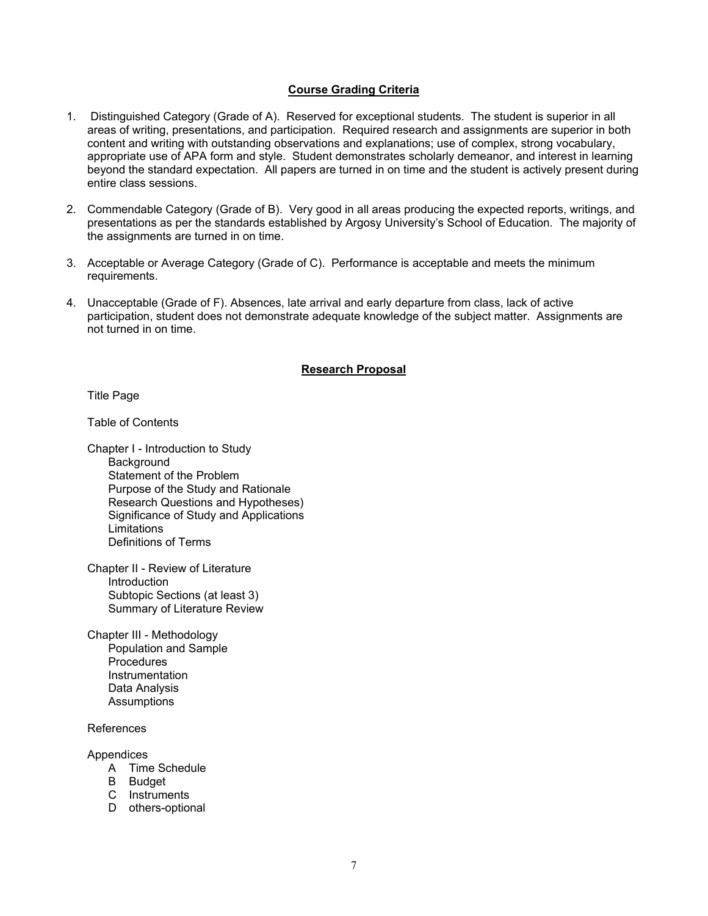## **Course Grading Criteria**

- 1. Distinguished Category (Grade of A). Reserved for exceptional students. The student is superior in all areas of writing, presentations, and participation. Required research and assignments are superior in both content and writing with outstanding observations and explanations; use of complex, strong vocabulary, appropriate use of APA form and style. Student demonstrates scholarly demeanor, and interest in learning beyond the standard expectation. All papers are turned in on time and the student is actively present during entire class sessions.
- 2. Commendable Category (Grade of B). Very good in all areas producing the expected reports, writings, and presentations as per the standards established by Argosy University's School of Education. The majority of the assignments are turned in on time.
- 3. Acceptable or Average Category (Grade of C). Performance is acceptable and meets the minimum requirements.
- 4. Unacceptable (Grade of F). Absences, late arrival and early departure from class, lack of active participation, student does not demonstrate adequate knowledge of the subject matter. Assignments are not turned in on time.

#### **Research Proposal**

Title Page

Table of Contents

Chapter I - Introduction to Study **Background** Statement of the Problem Purpose of the Study and Rationale Research Questions and Hypotheses) Significance of Study and Applications **Limitations** Definitions of Terms

Chapter II - Review of Literature Introduction Subtopic Sections (at least 3) Summary of Literature Review

Chapter III - Methodology Population and Sample **Procedures** Instrumentation Data Analysis **Assumptions** 

References

Appendices

- A Time Schedule
- B Budget
- C Instruments
- D others-optional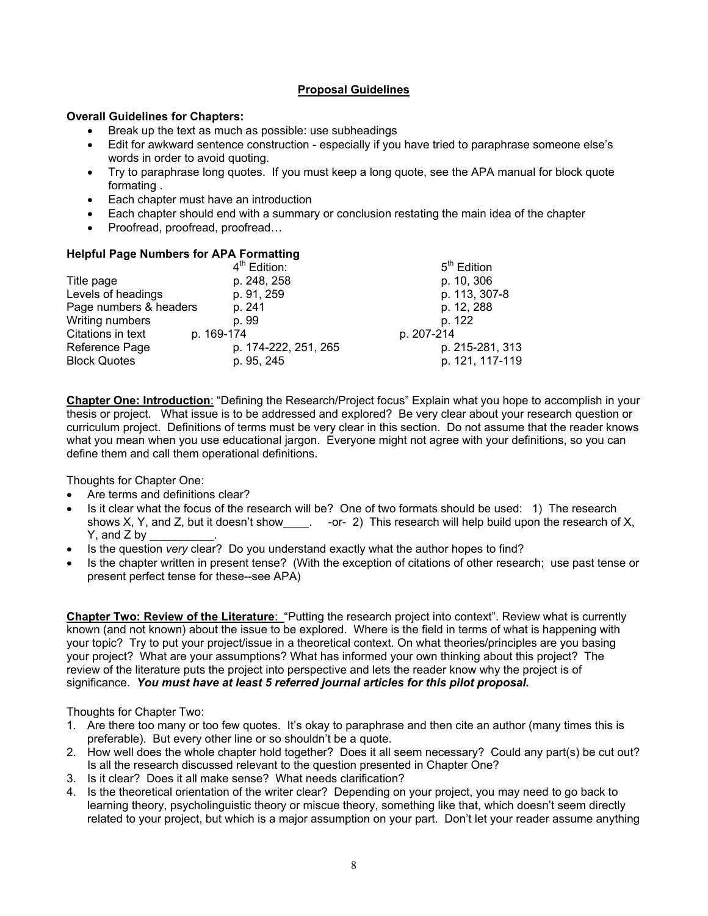# **Proposal Guidelines**

## **Overall Guidelines for Chapters:**

- Break up the text as much as possible: use subheadings
- Edit for awkward sentence construction especially if you have tried to paraphrase someone else's words in order to avoid quoting.
- Try to paraphrase long quotes. If you must keep a long quote, see the APA manual for block quote formating .
- Each chapter must have an introduction
- Each chapter should end with a summary or conclusion restating the main idea of the chapter
- Proofread, proofread, proofread...

## **Helpful Page Numbers for APA Formatting**

|                        | 4 <sup>th</sup> Edition: | 5 <sup>th</sup> Edition |
|------------------------|--------------------------|-------------------------|
| Title page             | p. 248, 258              | p. 10, 306              |
| Levels of headings     | p. 91, 259               | p. 113, 307-8           |
| Page numbers & headers | p. 241                   | p. 12, 288              |
| Writing numbers        | p. 99                    | p. 122                  |
| Citations in text      | p. 169-174               | p. 207-214              |
| Reference Page         | p. 174-222, 251, 265     | p. 215-281, 313         |
| <b>Block Quotes</b>    | p. 95, 245               | p. 121, 117-119         |

**Chapter One: Introduction**: "Defining the Research/Project focus" Explain what you hope to accomplish in your thesis or project. What issue is to be addressed and explored? Be very clear about your research question or curriculum project. Definitions of terms must be very clear in this section. Do not assume that the reader knows what you mean when you use educational jargon. Everyone might not agree with your definitions, so you can define them and call them operational definitions.

Thoughts for Chapter One:

- Are terms and definitions clear?
- Is it clear what the focus of the research will be? One of two formats should be used: 1) The research shows X, Y, and Z, but it doesn't show \_\_\_\_. -or- 2) This research will help build upon the research of X,  $Y$ , and  $Z$  by
- Is the question *very* clear? Do you understand exactly what the author hopes to find?
- Is the chapter written in present tense? (With the exception of citations of other research; use past tense or present perfect tense for these--see APA)

**Chapter Two: Review of the Literature:** "Putting the research project into context". Review what is currently known (and not known) about the issue to be explored. Where is the field in terms of what is happening with your topic? Try to put your project/issue in a theoretical context. On what theories/principles are you basing your project? What are your assumptions? What has informed your own thinking about this project? The review of the literature puts the project into perspective and lets the reader know why the project is of significance. *You must have at least 5 referred journal articles for this pilot proposal.* 

Thoughts for Chapter Two:

- 1. Are there too many or too few quotes. It's okay to paraphrase and then cite an author (many times this is preferable). But every other line or so shouldn't be a quote.
- 2. How well does the whole chapter hold together? Does it all seem necessary? Could any part(s) be cut out? Is all the research discussed relevant to the question presented in Chapter One?
- 3. Is it clear? Does it all make sense? What needs clarification?
- 4. Is the theoretical orientation of the writer clear? Depending on your project, you may need to go back to learning theory, psycholinguistic theory or miscue theory, something like that, which doesn't seem directly related to your project, but which is a major assumption on your part. Don't let your reader assume anything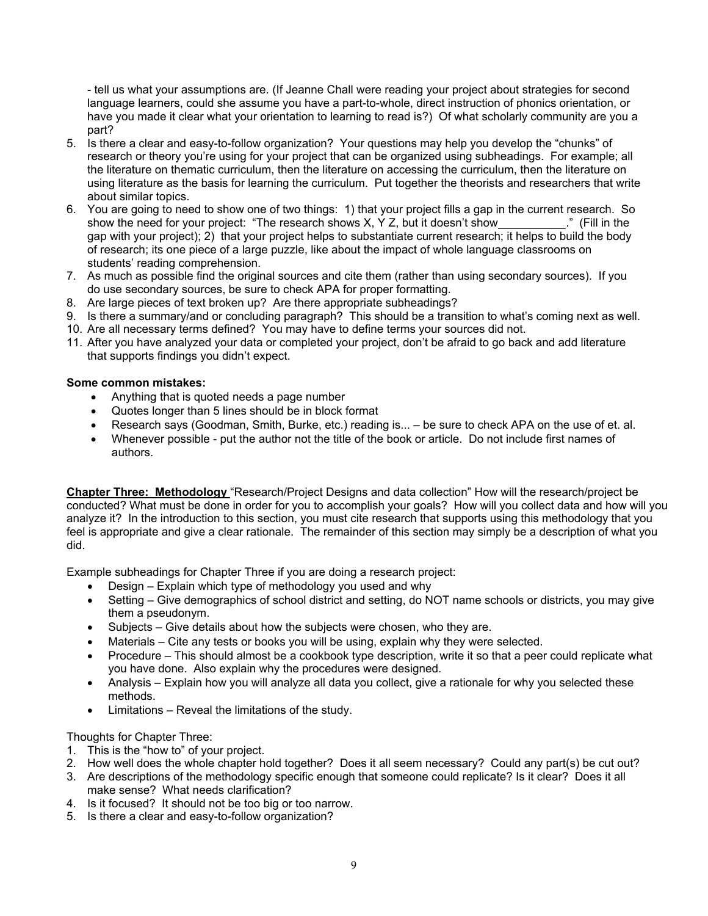- tell us what your assumptions are. (If Jeanne Chall were reading your project about strategies for second language learners, could she assume you have a part-to-whole, direct instruction of phonics orientation, or have you made it clear what your orientation to learning to read is?) Of what scholarly community are you a part?

- 5. Is there a clear and easy-to-follow organization? Your questions may help you develop the "chunks" of research or theory you're using for your project that can be organized using subheadings. For example; all the literature on thematic curriculum, then the literature on accessing the curriculum, then the literature on using literature as the basis for learning the curriculum. Put together the theorists and researchers that write about similar topics.
- 6. You are going to need to show one of two things: 1) that your project fills a gap in the current research. So show the need for your project: "The research shows X, Y Z, but it doesn't show ." (Fill in the gap with your project); 2) that your project helps to substantiate current research; it helps to build the body of research; its one piece of a large puzzle, like about the impact of whole language classrooms on students' reading comprehension.
- 7. As much as possible find the original sources and cite them (rather than using secondary sources). If you do use secondary sources, be sure to check APA for proper formatting.
- 8. Are large pieces of text broken up? Are there appropriate subheadings?
- 9. Is there a summary/and or concluding paragraph? This should be a transition to what's coming next as well.
- 10. Are all necessary terms defined? You may have to define terms your sources did not.
- 11. After you have analyzed your data or completed your project, don't be afraid to go back and add literature that supports findings you didn't expect.

# **Some common mistakes:**

- Anything that is quoted needs a page number
- Quotes longer than 5 lines should be in block format
- Research says (Goodman, Smith, Burke, etc.) reading is... be sure to check APA on the use of et. al.
- Whenever possible put the author not the title of the book or article. Do not include first names of authors.

**Chapter Three: Methodology** "Research/Project Designs and data collection" How will the research/project be conducted? What must be done in order for you to accomplish your goals? How will you collect data and how will you analyze it? In the introduction to this section, you must cite research that supports using this methodology that you feel is appropriate and give a clear rationale. The remainder of this section may simply be a description of what you did.

Example subheadings for Chapter Three if you are doing a research project:

- Design Explain which type of methodology you used and why
- Setting Give demographics of school district and setting, do NOT name schools or districts, you may give them a pseudonym.
- Subjects Give details about how the subjects were chosen, who they are.
- Materials Cite any tests or books you will be using, explain why they were selected.
- Procedure This should almost be a cookbook type description, write it so that a peer could replicate what you have done. Also explain why the procedures were designed.
- Analysis Explain how you will analyze all data you collect, give a rationale for why you selected these methods.
- Limitations Reveal the limitations of the study.

Thoughts for Chapter Three:

- 1. This is the "how to" of your project.
- 2. How well does the whole chapter hold together? Does it all seem necessary? Could any part(s) be cut out?
- 3. Are descriptions of the methodology specific enough that someone could replicate? Is it clear? Does it all make sense? What needs clarification?
- 4. Is it focused? It should not be too big or too narrow.
- 5. Is there a clear and easy-to-follow organization?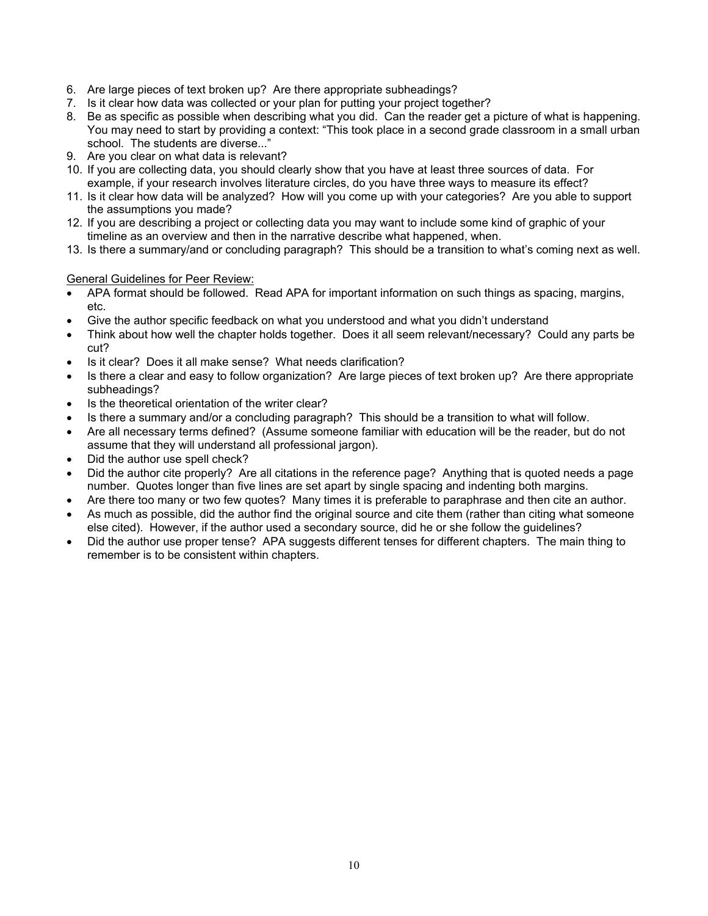- 6. Are large pieces of text broken up? Are there appropriate subheadings?
- 7. Is it clear how data was collected or your plan for putting your project together?
- 8. Be as specific as possible when describing what you did. Can the reader get a picture of what is happening. You may need to start by providing a context: "This took place in a second grade classroom in a small urban school. The students are diverse..."
- 9. Are you clear on what data is relevant?
- 10. If you are collecting data, you should clearly show that you have at least three sources of data. For example, if your research involves literature circles, do you have three ways to measure its effect?
- 11. Is it clear how data will be analyzed? How will you come up with your categories? Are you able to support the assumptions you made?
- 12. If you are describing a project or collecting data you may want to include some kind of graphic of your timeline as an overview and then in the narrative describe what happened, when.
- 13. Is there a summary/and or concluding paragraph? This should be a transition to what's coming next as well.

## General Guidelines for Peer Review:

- APA format should be followed. Read APA for important information on such things as spacing, margins, etc.
- Give the author specific feedback on what you understood and what you didn't understand
- Think about how well the chapter holds together. Does it all seem relevant/necessary? Could any parts be cut?
- Is it clear? Does it all make sense? What needs clarification?
- Is there a clear and easy to follow organization? Are large pieces of text broken up? Are there appropriate subheadings?
- Is the theoretical orientation of the writer clear?
- Is there a summary and/or a concluding paragraph? This should be a transition to what will follow.
- Are all necessary terms defined? (Assume someone familiar with education will be the reader, but do not assume that they will understand all professional jargon).
- Did the author use spell check?
- Did the author cite properly? Are all citations in the reference page? Anything that is quoted needs a page number. Quotes longer than five lines are set apart by single spacing and indenting both margins.
- Are there too many or two few quotes? Many times it is preferable to paraphrase and then cite an author.
- As much as possible, did the author find the original source and cite them (rather than citing what someone else cited). However, if the author used a secondary source, did he or she follow the guidelines?
- Did the author use proper tense? APA suggests different tenses for different chapters. The main thing to remember is to be consistent within chapters.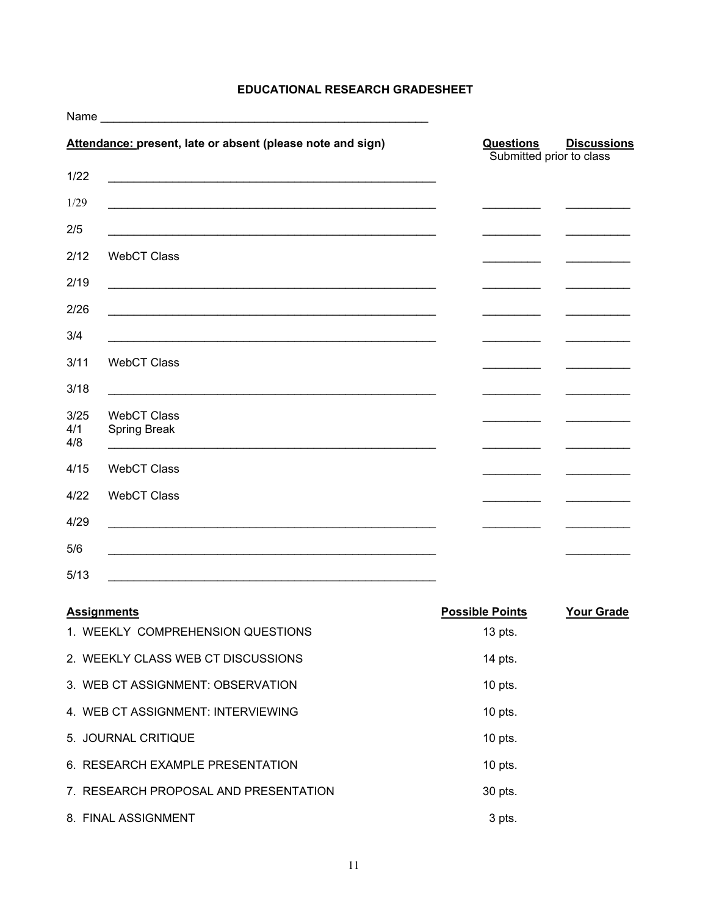# **EDUCATIONAL RESEARCH GRADESHEET**

|                                                          | Name was a structured by the contract of the contract of the contract of the contract of the contract of the contract of the contract of the contract of the contract of the contract of the contract of the contract of the c |                          |                    |
|----------------------------------------------------------|--------------------------------------------------------------------------------------------------------------------------------------------------------------------------------------------------------------------------------|--------------------------|--------------------|
|                                                          | Attendance: present, late or absent (please note and sign)                                                                                                                                                                     | <b>Questions</b>         | <b>Discussions</b> |
| 1/22                                                     | <u> 1989 - Johann Barn, amerikan berkema dalam berkema dalam berkema dalam berkema dalam berkema dalam berkema da</u>                                                                                                          | Submitted prior to class |                    |
| 1/29                                                     |                                                                                                                                                                                                                                |                          |                    |
| 2/5                                                      |                                                                                                                                                                                                                                |                          |                    |
| 2/12<br><b>WebCT Class</b>                               |                                                                                                                                                                                                                                |                          |                    |
| 2/19                                                     |                                                                                                                                                                                                                                |                          |                    |
| 2/26                                                     |                                                                                                                                                                                                                                |                          |                    |
| 3/4                                                      |                                                                                                                                                                                                                                |                          |                    |
| 3/11<br><b>WebCT Class</b>                               |                                                                                                                                                                                                                                |                          |                    |
| 3/18                                                     |                                                                                                                                                                                                                                |                          |                    |
| 3/25<br><b>WebCT Class</b><br>4/1<br>Spring Break<br>4/8 |                                                                                                                                                                                                                                |                          |                    |
| 4/15<br><b>WebCT Class</b>                               |                                                                                                                                                                                                                                |                          |                    |
| 4/22<br><b>WebCT Class</b>                               |                                                                                                                                                                                                                                |                          |                    |
| 4/29                                                     |                                                                                                                                                                                                                                |                          |                    |
| 5/6                                                      |                                                                                                                                                                                                                                |                          |                    |
| 5/13                                                     | <u> 1999 - 1999 - 1999 - 1999 - 1999 - 1999 - 1999 - 1999 - 1999 - 1999 - 1999 - 1999 - 1999 - 1999 - 1999 - 19</u>                                                                                                            |                          |                    |
| <b>Assignments</b>                                       |                                                                                                                                                                                                                                | <b>Possible Points</b>   | <b>Your Grade</b>  |
|                                                          | 1. WEEKLY COMPREHENSION QUESTIONS                                                                                                                                                                                              | 13 pts.                  |                    |
|                                                          | 2. WEEKLY CLASS WEB CT DISCUSSIONS                                                                                                                                                                                             | 14 pts.                  |                    |
|                                                          | 3. WEB CT ASSIGNMENT: OBSERVATION                                                                                                                                                                                              | 10 pts.                  |                    |
|                                                          | 4. WEB CT ASSIGNMENT: INTERVIEWING                                                                                                                                                                                             | 10 pts.                  |                    |
| 5. JOURNAL CRITIQUE                                      |                                                                                                                                                                                                                                | 10 pts.                  |                    |
|                                                          | 6. RESEARCH EXAMPLE PRESENTATION                                                                                                                                                                                               | 10 pts.                  |                    |
|                                                          | 7. RESEARCH PROPOSAL AND PRESENTATION                                                                                                                                                                                          | 30 pts.                  |                    |
| 8. FINAL ASSIGNMENT                                      |                                                                                                                                                                                                                                | 3 pts.                   |                    |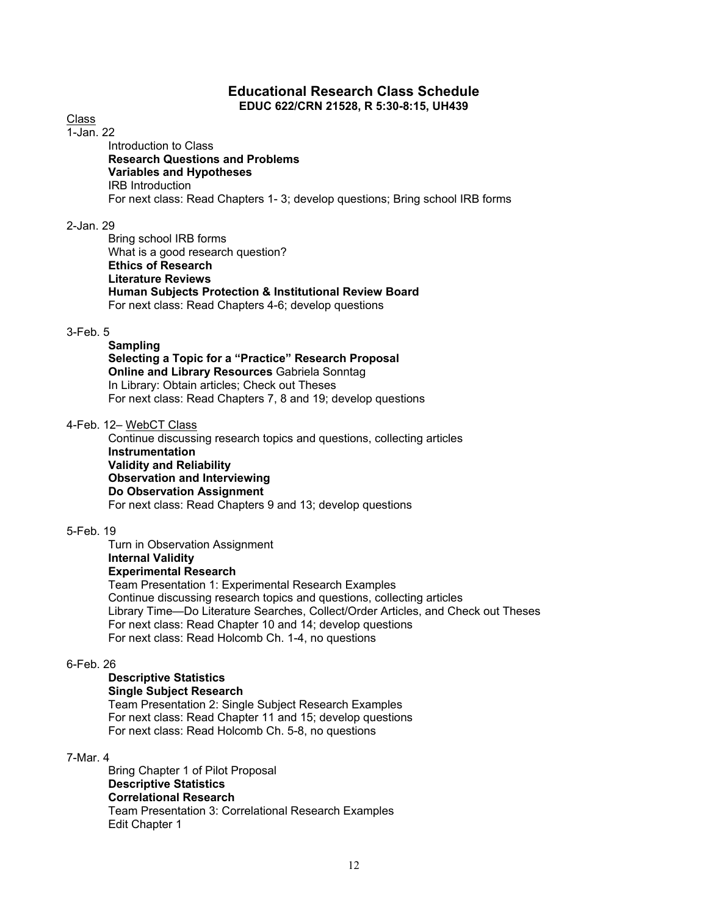## **Educational Research Class Schedule EDUC 622/CRN 21528, R 5:30-8:15, UH439**

Class

 $\overline{1}$ -Jan. 22

 Introduction to Class  **Research Questions and Problems Variables and Hypotheses**  IRB Introduction For next class: Read Chapters 1- 3; develop questions; Bring school IRB forms

2-Jan. 29

 Bring school IRB forms What is a good research question?  **Ethics of Research Literature Reviews Human Subjects Protection & Institutional Review Board**  For next class: Read Chapters 4-6; develop questions

# 3-Feb. 5

#### **Sampling Selecting a Topic for a "Practice" Research Proposal Online and Library Resources** Gabriela Sonntag In Library: Obtain articles; Check out Theses For next class: Read Chapters 7, 8 and 19; develop questions

4-Feb. 12– WebCT Class

 Continue discussing research topics and questions, collecting articles  **Instrumentation Validity and Reliability Observation and Interviewing Do Observation Assignment**  For next class: Read Chapters 9 and 13; develop questions

# 5-Feb. 19

 Turn in Observation Assignment  **Internal Validity Experimental Research**  Team Presentation 1: Experimental Research Examples Continue discussing research topics and questions, collecting articles Library Time—Do Literature Searches, Collect/Order Articles, and Check out Theses For next class: Read Chapter 10 and 14; develop questions For next class: Read Holcomb Ch. 1-4, no questions

## 6-Feb. 26

#### **Descriptive Statistics Single Subject Research**

Team Presentation 2: Single Subject Research Examples For next class: Read Chapter 11 and 15; develop questions For next class: Read Holcomb Ch. 5-8, no questions

## 7-Mar. 4

Bring Chapter 1 of Pilot Proposal **Descriptive Statistics Correlational Research**  Team Presentation 3: Correlational Research Examples Edit Chapter 1